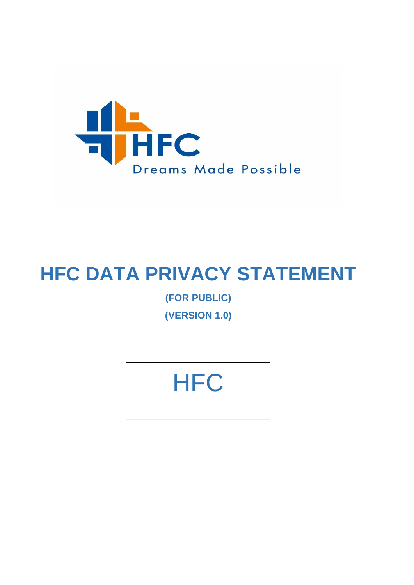

## **HFC DATA PRIVACY STATEMENT**

**(FOR PUBLIC) (VERSION 1.0)**

# **HFC**

\_\_\_\_\_\_\_\_\_\_\_\_\_\_\_\_\_\_\_\_\_\_\_\_\_\_\_\_\_\_\_

\_\_\_\_\_\_\_\_\_\_\_\_\_\_\_\_\_\_\_\_\_\_\_\_\_\_\_\_\_\_\_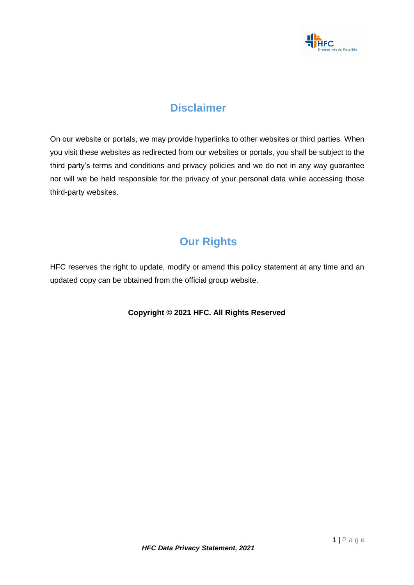

## **Disclaimer**

On our website or portals, we may provide hyperlinks to other websites or third parties. When you visit these websites as redirected from our websites or portals, you shall be subject to the third party's terms and conditions and privacy policies and we do not in any way guarantee nor will we be held responsible for the privacy of your personal data while accessing those third-party websites.

## **Our Rights**

HFC reserves the right to update, modify or amend this policy statement at any time and an updated copy can be obtained from the official group website.

#### **Copyright © 2021 HFC. All Rights Reserved**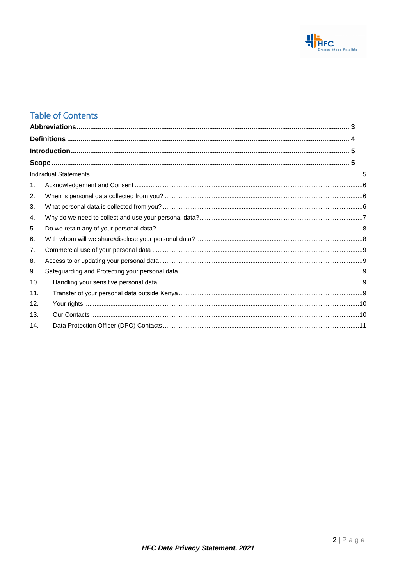

### **Table of Contents**

| 1.              |  |  |  |
|-----------------|--|--|--|
| 2.              |  |  |  |
| 3.              |  |  |  |
| 4.              |  |  |  |
| 5.              |  |  |  |
| 6.              |  |  |  |
| 7.              |  |  |  |
| 8.              |  |  |  |
| 9.              |  |  |  |
| 10.             |  |  |  |
| 11.             |  |  |  |
| 12 <sub>1</sub> |  |  |  |
| 13.             |  |  |  |
| 14.             |  |  |  |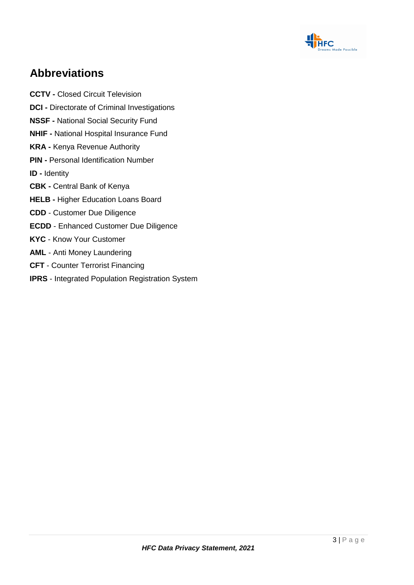

## <span id="page-3-0"></span>**Abbreviations**

**CCTV -** Closed Circuit Television **DCI -** Directorate of Criminal Investigations **NSSF -** National Social Security Fund **NHIF -** National Hospital Insurance Fund **KRA -** Kenya Revenue Authority **PIN -** Personal Identification Number **ID -** Identity **CBK -** Central Bank of Kenya **HELB -** Higher Education Loans Board **CDD** - Customer Due Diligence **ECDD** - Enhanced Customer Due Diligence **KYC** - Know Your Customer **AML** - Anti Money Laundering **CFT** - Counter Terrorist Financing **IPRS** - Integrated Population Registration System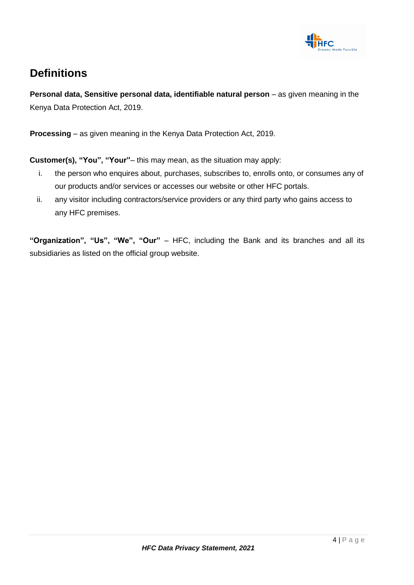

## <span id="page-4-0"></span>**Definitions**

**Personal data, Sensitive personal data, identifiable natural person** – as given meaning in the Kenya Data Protection Act, 2019.

**Processing** – as given meaning in the Kenya Data Protection Act, 2019.

**Customer(s), "You", "Your"**– this may mean, as the situation may apply:

- i. the person who enquires about, purchases, subscribes to, enrolls onto, or consumes any of our products and/or services or accesses our website or other HFC portals.
- ii. any visitor including contractors/service providers or any third party who gains access to any HFC premises.

**"Organization", "Us", "We", "Our"** – HFC, including the Bank and its branches and all its subsidiaries as listed on the official group website.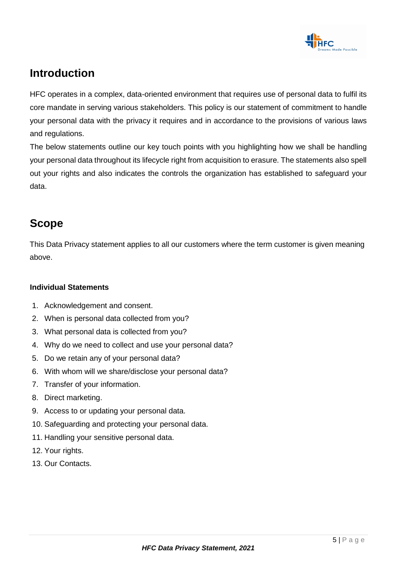

## <span id="page-5-0"></span>**Introduction**

HFC operates in a complex, data-oriented environment that requires use of personal data to fulfil its core mandate in serving various stakeholders. This policy is our statement of commitment to handle your personal data with the privacy it requires and in accordance to the provisions of various laws and regulations.

The below statements outline our key touch points with you highlighting how we shall be handling your personal data throughout its lifecycle right from acquisition to erasure. The statements also spell out your rights and also indicates the controls the organization has established to safeguard your data.

## <span id="page-5-1"></span>**Scope**

This Data Privacy statement applies to all our customers where the term customer is given meaning above.

#### <span id="page-5-2"></span>**Individual Statements**

- 1. Acknowledgement and consent.
- 2. When is personal data collected from you?
- 3. What personal data is collected from you?
- 4. Why do we need to collect and use your personal data?
- 5. Do we retain any of your personal data?
- 6. With whom will we share/disclose your personal data?
- 7. Transfer of your information.
- 8. Direct marketing.
- 9. Access to or updating your personal data.
- 10. Safeguarding and protecting your personal data.
- 11. Handling your sensitive personal data.
- 12. Your rights.
- 13. Our Contacts.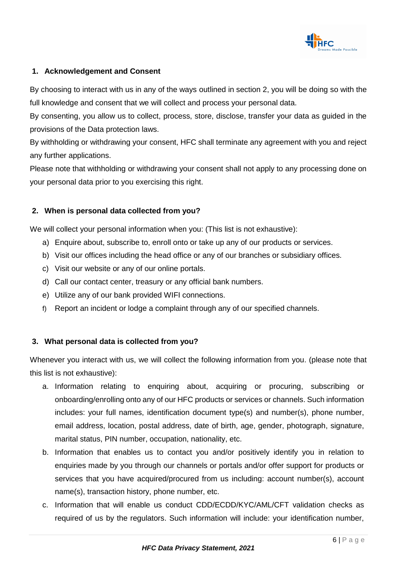

#### <span id="page-6-0"></span>**1. Acknowledgement and Consent**

By choosing to interact with us in any of the ways outlined in section 2, you will be doing so with the full knowledge and consent that we will collect and process your personal data.

By consenting, you allow us to collect, process, store, disclose, transfer your data as guided in the provisions of the Data protection laws.

By withholding or withdrawing your consent, HFC shall terminate any agreement with you and reject any further applications.

Please note that withholding or withdrawing your consent shall not apply to any processing done on your personal data prior to you exercising this right.

#### <span id="page-6-1"></span>**2. When is personal data collected from you?**

We will collect your personal information when you: (This list is not exhaustive):

- a) Enquire about, subscribe to, enroll onto or take up any of our products or services.
- b) Visit our offices including the head office or any of our branches or subsidiary offices.
- c) Visit our website or any of our online portals.
- d) Call our contact center, treasury or any official bank numbers.
- e) Utilize any of our bank provided WIFI connections.
- f) Report an incident or lodge a complaint through any of our specified channels.

#### <span id="page-6-2"></span>**3. What personal data is collected from you?**

Whenever you interact with us, we will collect the following information from you. (please note that this list is not exhaustive):

- a. Information relating to enquiring about, acquiring or procuring, subscribing or onboarding/enrolling onto any of our HFC products or services or channels. Such information includes: your full names, identification document type(s) and number(s), phone number, email address, location, postal address, date of birth, age, gender, photograph, signature, marital status, PIN number, occupation, nationality, etc.
- b. Information that enables us to contact you and/or positively identify you in relation to enquiries made by you through our channels or portals and/or offer support for products or services that you have acquired/procured from us including: account number(s), account name(s), transaction history, phone number, etc.
- c. Information that will enable us conduct CDD/ECDD/KYC/AML/CFT validation checks as required of us by the regulators. Such information will include: your identification number,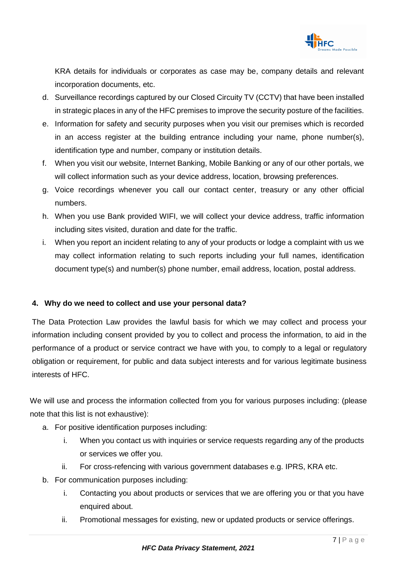

KRA details for individuals or corporates as case may be, company details and relevant incorporation documents, etc.

- d. Surveillance recordings captured by our Closed Circuity TV (CCTV) that have been installed in strategic places in any of the HFC premises to improve the security posture of the facilities.
- e. Information for safety and security purposes when you visit our premises which is recorded in an access register at the building entrance including your name, phone number(s), identification type and number, company or institution details.
- f. When you visit our website, Internet Banking, Mobile Banking or any of our other portals, we will collect information such as your device address, location, browsing preferences.
- g. Voice recordings whenever you call our contact center, treasury or any other official numbers.
- h. When you use Bank provided WIFI, we will collect your device address, traffic information including sites visited, duration and date for the traffic.
- i. When you report an incident relating to any of your products or lodge a complaint with us we may collect information relating to such reports including your full names, identification document type(s) and number(s) phone number, email address, location, postal address.

#### <span id="page-7-0"></span>**4. Why do we need to collect and use your personal data?**

The Data Protection Law provides the lawful basis for which we may collect and process your information including consent provided by you to collect and process the information, to aid in the performance of a product or service contract we have with you, to comply to a legal or regulatory obligation or requirement, for public and data subject interests and for various legitimate business interests of HFC.

We will use and process the information collected from you for various purposes including: (please note that this list is not exhaustive):

- a. For positive identification purposes including:
	- i. When you contact us with inquiries or service requests regarding any of the products or services we offer you.
	- ii. For cross-refencing with various government databases e.g. IPRS, KRA etc.
- b. For communication purposes including:
	- i. Contacting you about products or services that we are offering you or that you have enquired about.
	- ii. Promotional messages for existing, new or updated products or service offerings.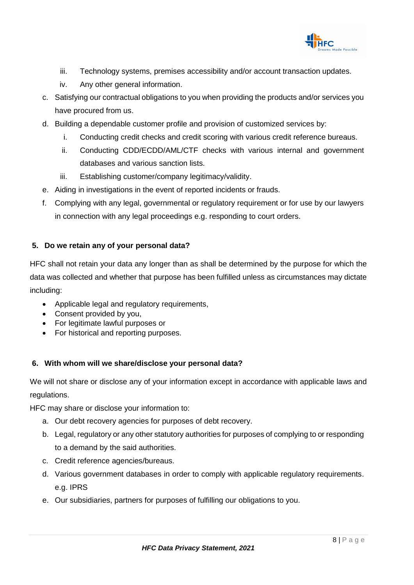

- iii. Technology systems, premises accessibility and/or account transaction updates.
- iv. Any other general information.
- c. Satisfying our contractual obligations to you when providing the products and/or services you have procured from us.
- d. Building a dependable customer profile and provision of customized services by:
	- i. Conducting credit checks and credit scoring with various credit reference bureaus.
	- ii. Conducting CDD/ECDD/AML/CTF checks with various internal and government databases and various sanction lists.
	- iii. Establishing customer/company legitimacy/validity.
- e. Aiding in investigations in the event of reported incidents or frauds.
- f. Complying with any legal, governmental or regulatory requirement or for use by our lawyers in connection with any legal proceedings e.g. responding to court orders.

#### <span id="page-8-0"></span>**5. Do we retain any of your personal data?**

HFC shall not retain your data any longer than as shall be determined by the purpose for which the data was collected and whether that purpose has been fulfilled unless as circumstances may dictate including:

- Applicable legal and regulatory requirements,
- Consent provided by you,
- For legitimate lawful purposes or
- For historical and reporting purposes.

#### <span id="page-8-1"></span>**6. With whom will we share/disclose your personal data?**

We will not share or disclose any of your information except in accordance with applicable laws and regulations.

HFC may share or disclose your information to:

- a. Our debt recovery agencies for purposes of debt recovery.
- b. Legal, regulatory or any other statutory authorities for purposes of complying to or responding to a demand by the said authorities.
- c. Credit reference agencies/bureaus.
- d. Various government databases in order to comply with applicable regulatory requirements. e.g. IPRS
- e. Our subsidiaries, partners for purposes of fulfilling our obligations to you.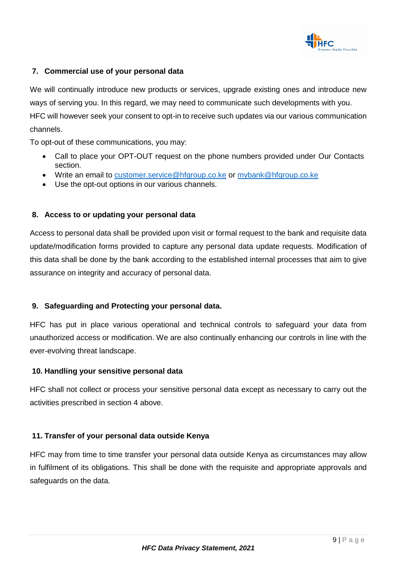

#### <span id="page-9-0"></span>**7. Commercial use of your personal data**

We will continually introduce new products or services, upgrade existing ones and introduce new ways of serving you. In this regard, we may need to communicate such developments with you. HFC will however seek your consent to opt-in to receive such updates via our various communication channels.

To opt-out of these communications, you may:

- Call to place your OPT-OUT request on the phone numbers provided under Our Contacts section.
- Write an email to [customer.service@hfgroup.co.ke](mailto:customer.service@hfgroup.co.ke) or [mybank@hfgroup.co.ke](mailto:mybank@hfgroup.co.ke)
- Use the opt-out options in our various channels.

#### <span id="page-9-1"></span>**8. Access to or updating your personal data**

Access to personal data shall be provided upon visit or formal request to the bank and requisite data update/modification forms provided to capture any personal data update requests. Modification of this data shall be done by the bank according to the established internal processes that aim to give assurance on integrity and accuracy of personal data.

#### <span id="page-9-2"></span>**9. Safeguarding and Protecting your personal data.**

HFC has put in place various operational and technical controls to safeguard your data from unauthorized access or modification. We are also continually enhancing our controls in line with the ever-evolving threat landscape.

#### <span id="page-9-3"></span>**10. Handling your sensitive personal data**

HFC shall not collect or process your sensitive personal data except as necessary to carry out the activities prescribed in section 4 above.

#### <span id="page-9-4"></span>**11. Transfer of your personal data outside Kenya**

HFC may from time to time transfer your personal data outside Kenya as circumstances may allow in fulfilment of its obligations. This shall be done with the requisite and appropriate approvals and safeguards on the data.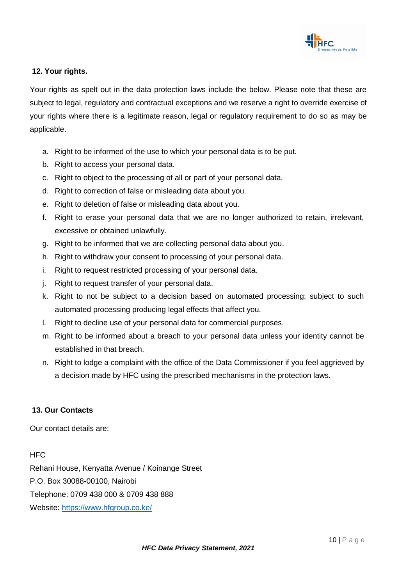

#### <span id="page-10-0"></span>**12. Your rights.**

Your rights as spelt out in the data protection laws include the below. Please note that these are subject to legal, regulatory and contractual exceptions and we reserve a right to override exercise of your rights where there is a legitimate reason, legal or regulatory requirement to do so as may be applicable.

- a. Right to be informed of the use to which your personal data is to be put.
- b. Right to access your personal data.
- c. Right to object to the processing of all or part of your personal data.
- d. Right to correction of false or misleading data about you.
- e. Right to deletion of false or misleading data about you.
- f. Right to erase your personal data that we are no longer authorized to retain, irrelevant, excessive or obtained unlawfully.
- g. Right to be informed that we are collecting personal data about you.
- h. Right to withdraw your consent to processing of your personal data.
- i. Right to request restricted processing of your personal data.
- j. Right to request transfer of your personal data.
- k. Right to not be subject to a decision based on automated processing; subject to such automated processing producing legal effects that affect you.
- l. Right to decline use of your personal data for commercial purposes.
- m. Right to be informed about a breach to your personal data unless your identity cannot be established in that breach.
- n. Right to lodge a complaint with the office of the Data Commissioner if you feel aggrieved by a decision made by HFC using the prescribed mechanisms in the protection laws.

#### <span id="page-10-1"></span>**13. Our Contacts**

Our contact details are:

HFC

Rehani House, Kenyatta Avenue / Koinange Street P.O. Box 30088-00100, Nairobi Telephone: 0709 438 000 & 0709 438 888 Website:<https://www.hfgroup.co.ke/>